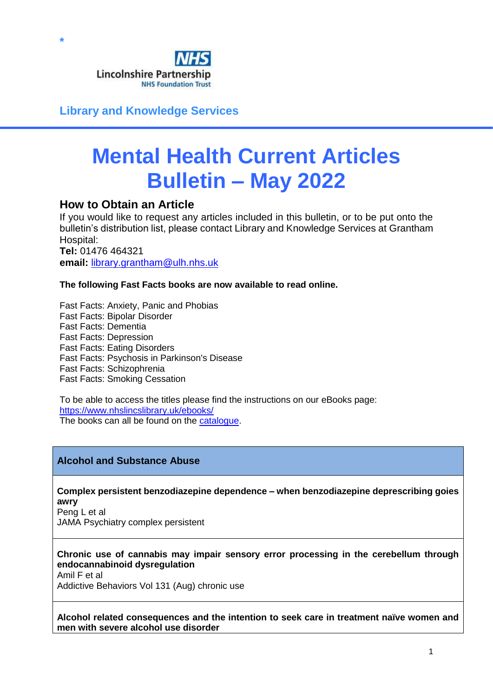

**\***

**Library and Knowledge Services**

# **Mental Health Current Articles Bulletin – May 2022**

# **How to Obtain an Article**

If you would like to request any articles included in this bulletin, or to be put onto the bulletin's distribution list, please contact Library and Knowledge Services at Grantham Hospital: **Tel:** 01476 464321

**email:** [library.grantham@ulh.nhs.uk](mailto:library.grantham@ulh.nhs.uk)

#### **The following Fast Facts books are now available to read online.**

Fast Facts: Anxiety, Panic and Phobias Fast Facts: Bipolar Disorder Fast Facts: Dementia Fast Facts: Depression Fast Facts: Eating Disorders Fast Facts: Psychosis in Parkinson's Disease Fast Facts: Schizophrenia Fast Facts: Smoking Cessation

To be able to access the titles please find the instructions on our eBooks page: <https://www.nhslincslibrary.uk/ebooks/> The books can all be found on the [catalogue.](https://linhea.cirqahosting.com/HeritageScripts/Hapi.dll/search1)

# **Alcohol and Substance Abuse**

**Complex persistent benzodiazepine dependence – when benzodiazepine deprescribing goies awry** Peng L et al

JAMA Psychiatry complex persistent

# **Chronic use of cannabis may impair sensory error processing in the cerebellum through endocannabinoid dysregulation**

Amil F et al

Addictive Behaviors Vol 131 (Aug) chronic use

**Alcohol related consequences and the intention to seek care in treatment naïve women and men with severe alcohol use disorder**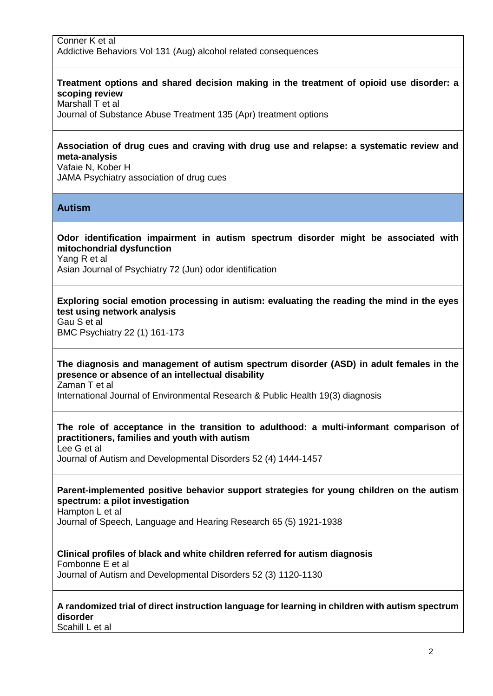#### **Treatment options and shared decision making in the treatment of opioid use disorder: a scoping review**

Marshall T et al

Journal of Substance Abuse Treatment 135 (Apr) treatment options

# **Association of drug cues and craving with drug use and relapse: a systematic review and meta-analysis**

Vafaie N, Kober H JAMA Psychiatry association of drug cues

#### **Autism**

#### **Odor identification impairment in autism spectrum disorder might be associated with mitochondrial dysfunction**

Yang R et al Asian Journal of Psychiatry 72 (Jun) odor identification

#### **Exploring social emotion processing in autism: evaluating the reading the mind in the eyes test using network analysis**

Gau S et al BMC Psychiatry 22 (1) 161-173

# **The diagnosis and management of autism spectrum disorder (ASD) in adult females in the presence or absence of an intellectual disability**

Zaman T et al

International Journal of Environmental Research & Public Health 19(3) diagnosis

#### **The role of acceptance in the transition to adulthood: a multi-informant comparison of practitioners, families and youth with autism**

Lee G et al Journal of Autism and Developmental Disorders 52 (4) 1444-1457

#### **Parent-implemented positive behavior support strategies for young children on the autism spectrum: a pilot investigation**

Hampton L et al

Journal of Speech, Language and Hearing Research 65 (5) 1921-1938

# **Clinical profiles of black and white children referred for autism diagnosis**

Fombonne E et al Journal of Autism and Developmental Disorders 52 (3) 1120-1130

# **A randomized trial of direct instruction language for learning in children with autism spectrum disorder**

Scahill L et al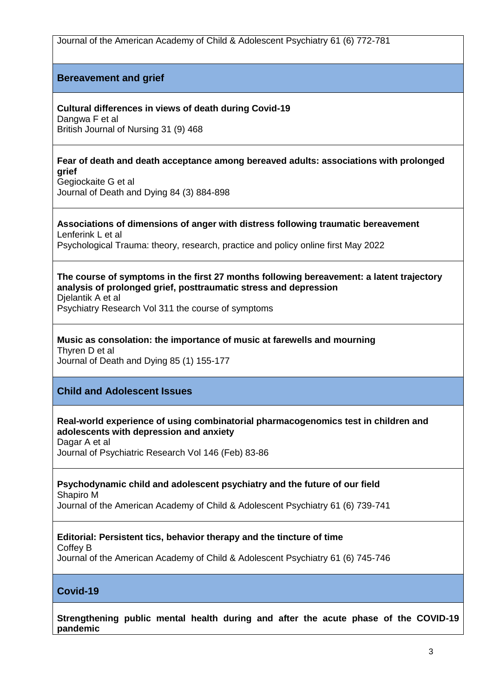Journal of the American Academy of Child & Adolescent Psychiatry 61 (6) 772-781

**Bereavement and grief**

**Cultural differences in views of death during Covid-19** Dangwa F et al British Journal of Nursing 31 (9) 468

#### **Fear of death and death acceptance among bereaved adults: associations with prolonged grief**

Gegiockaite G et al Journal of Death and Dying 84 (3) 884-898

#### **Associations of dimensions of anger with distress following traumatic bereavement** Lenferink L et al

Psychological Trauma: theory, research, practice and policy online first May 2022

**The course of symptoms in the first 27 months following bereavement: a latent trajectory analysis of prolonged grief, posttraumatic stress and depression** Djelantik A et al Psychiatry Research Vol 311 the course of symptoms

# **Music as consolation: the importance of music at farewells and mourning**

Thyren D et al Journal of Death and Dying 85 (1) 155-177

# **Child and Adolescent Issues**

# **Real-world experience of using combinatorial pharmacogenomics test in children and adolescents with depression and anxiety**

Dagar A et al Journal of Psychiatric Research Vol 146 (Feb) 83-86

#### **Psychodynamic child and adolescent psychiatry and the future of our field** Shapiro M

Journal of the American Academy of Child & Adolescent Psychiatry 61 (6) 739-741

#### **Editorial: Persistent tics, behavior therapy and the tincture of time** Coffey B

Journal of the American Academy of Child & Adolescent Psychiatry 61 (6) 745-746

**Covid-19**

**Strengthening public mental health during and after the acute phase of the COVID-19 pandemic**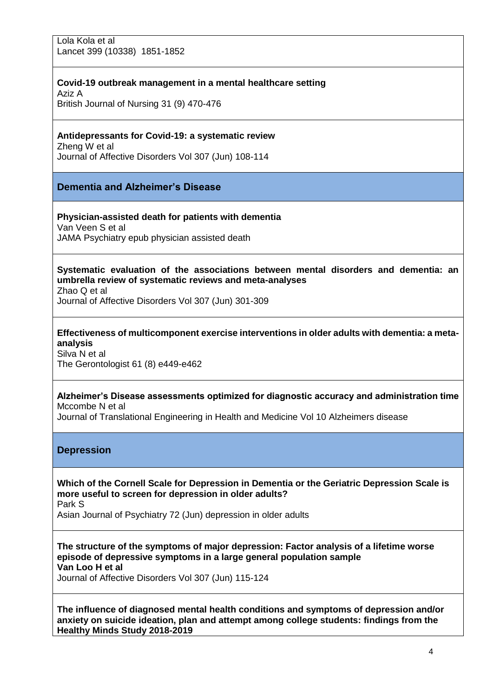Lola Kola et al Lancet 399 (10338) 1851-1852

# **Covid-19 outbreak management in a mental healthcare setting**

Aziz A British Journal of Nursing 31 (9) 470-476

## **Antidepressants for Covid-19: a systematic review**

Zheng W et al Journal of Affective Disorders Vol 307 (Jun) 108-114

# **Dementia and Alzheimer's Disease**

**Physician-assisted death for patients with dementia** Van Veen S et al JAMA Psychiatry epub physician assisted death

**Systematic evaluation of the associations between mental disorders and dementia: an umbrella review of systematic reviews and meta-analyses** Zhao Q et al

Journal of Affective Disorders Vol 307 (Jun) 301-309

**Effectiveness of multicomponent exercise interventions in older adults with dementia: a metaanalysis**

Silva N et al The Gerontologist 61 (8) e449-e462

**Alzheimer's Disease assessments optimized for diagnostic accuracy and administration time** Mccombe N et al

Journal of Translational Engineering in Health and Medicine Vol 10 Alzheimers disease

# **Depression**

**Which of the Cornell Scale for Depression in Dementia or the Geriatric Depression Scale is more useful to screen for depression in older adults?**

Park S

Asian Journal of Psychiatry 72 (Jun) depression in older adults

**The structure of the symptoms of major depression: Factor analysis of a lifetime worse episode of depressive symptoms in a large general population sample Van Loo H et al**

Journal of Affective Disorders Vol 307 (Jun) 115-124

**The influence of diagnosed mental health conditions and symptoms of depression and/or anxiety on suicide ideation, plan and attempt among college students: findings from the Healthy Minds Study 2018-2019**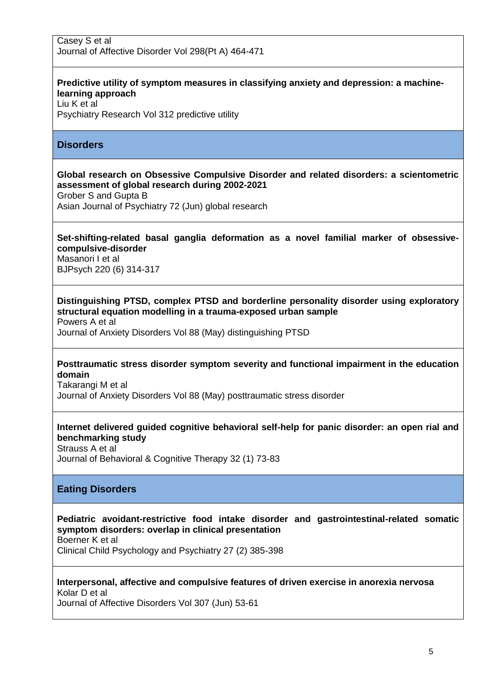#### **Predictive utility of symptom measures in classifying anxiety and depression: a machinelearning approach**

Liu K et al

Psychiatry Research Vol 312 predictive utility

## **Disorders**

**Global research on Obsessive Compulsive Disorder and related disorders: a scientometric assessment of global research during 2002-2021**

Grober S and Gupta B

Asian Journal of Psychiatry 72 (Jun) global research

#### **Set-shifting-related basal ganglia deformation as a novel familial marker of obsessivecompulsive-disorder**

Masanori I et al BJPsych 220 (6) 314-317

#### **Distinguishing PTSD, complex PTSD and borderline personality disorder using exploratory structural equation modelling in a trauma-exposed urban sample**

Powers A et al Journal of Anxiety Disorders Vol 88 (May) distinguishing PTSD

#### **Posttraumatic stress disorder symptom severity and functional impairment in the education domain**

Takarangi M et al Journal of Anxiety Disorders Vol 88 (May) posttraumatic stress disorder

#### **Internet delivered guided cognitive behavioral self-help for panic disorder: an open rial and benchmarking study**

Strauss A et al Journal of Behavioral & Cognitive Therapy 32 (1) 73-83

# **Eating Disorders**

**Pediatric avoidant-restrictive food intake disorder and gastrointestinal-related somatic symptom disorders: overlap in clinical presentation** Boerner K et al

Clinical Child Psychology and Psychiatry 27 (2) 385-398

# **Interpersonal, affective and compulsive features of driven exercise in anorexia nervosa** Kolar D et al

Journal of Affective Disorders Vol 307 (Jun) 53-61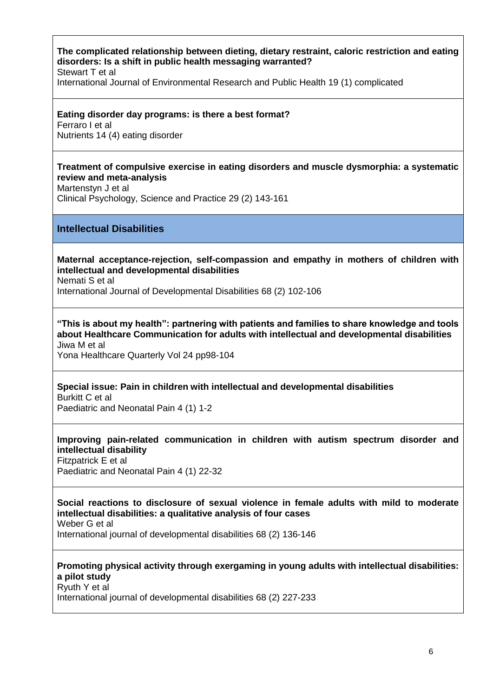# **The complicated relationship between dieting, dietary restraint, caloric restriction and eating disorders: Is a shift in public health messaging warranted?**

Stewart T et al

International Journal of Environmental Research and Public Health 19 (1) complicated

# **Eating disorder day programs: is there a best format?**

Ferraro I et al Nutrients 14 (4) eating disorder

#### **Treatment of compulsive exercise in eating disorders and muscle dysmorphia: a systematic review and meta-analysis**

Martenstyn J et al Clinical Psychology, Science and Practice 29 (2) 143-161

# **Intellectual Disabilities**

**Maternal acceptance-rejection, self-compassion and empathy in mothers of children with intellectual and developmental disabilities**

Nemati S et al

International Journal of Developmental Disabilities 68 (2) 102-106

**"This is about my health": partnering with patients and families to share knowledge and tools about Healthcare Communication for adults with intellectual and developmental disabilities** Jiwa M et al

Yona Healthcare Quarterly Vol 24 pp98-104

#### **Special issue: Pain in children with intellectual and developmental disabilities** Burkitt C et al

Paediatric and Neonatal Pain 4 (1) 1-2

#### **Improving pain-related communication in children with autism spectrum disorder and intellectual disability**

Fitzpatrick E et al Paediatric and Neonatal Pain 4 (1) 22-32

# **Social reactions to disclosure of sexual violence in female adults with mild to moderate intellectual disabilities: a qualitative analysis of four cases**

Weber G et al

International journal of developmental disabilities 68 (2) 136-146

#### **Promoting physical activity through exergaming in young adults with intellectual disabilities: a pilot study** Ryuth Y et al

International journal of developmental disabilities 68 (2) 227-233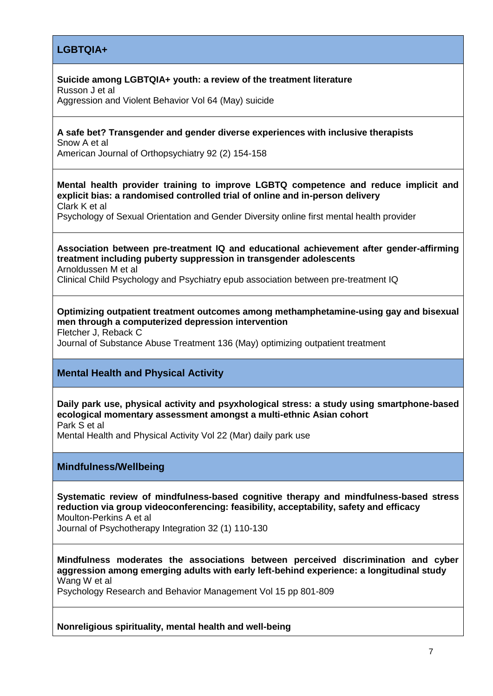# **LGBTQIA+**

#### **Suicide among LGBTQIA+ youth: a review of the treatment literature**

Russon J et al Aggression and Violent Behavior Vol 64 (May) suicide

#### **A safe bet? Transgender and gender diverse experiences with inclusive therapists** Snow A et al

American Journal of Orthopsychiatry 92 (2) 154-158

**Mental health provider training to improve LGBTQ competence and reduce implicit and explicit bias: a randomised controlled trial of online and in-person delivery**

Clark K et al

Psychology of Sexual Orientation and Gender Diversity online first mental health provider

#### **Association between pre-treatment IQ and educational achievement after gender-affirming treatment including puberty suppression in transgender adolescents** Arnoldussen M et al

Clinical Child Psychology and Psychiatry epub association between pre-treatment IQ

#### **Optimizing outpatient treatment outcomes among methamphetamine-using gay and bisexual men through a computerized depression intervention**

Fletcher J, Reback C Journal of Substance Abuse Treatment 136 (May) optimizing outpatient treatment

# **Mental Health and Physical Activity**

**Daily park use, physical activity and psyxhological stress: a study using smartphone-based ecological momentary assessment amongst a multi-ethnic Asian cohort** Park S et al

Mental Health and Physical Activity Vol 22 (Mar) daily park use

#### **Mindfulness/Wellbeing**

**Systematic review of mindfulness-based cognitive therapy and mindfulness-based stress reduction via group videoconferencing: feasibility, acceptability, safety and efficacy** Moulton-Perkins A et al

Journal of Psychotherapy Integration 32 (1) 110-130

**Mindfulness moderates the associations between perceived discrimination and cyber aggression among emerging adults with early left-behind experience: a longitudinal study** Wang W et al

Psychology Research and Behavior Management Vol 15 pp 801-809

**Nonreligious spirituality, mental health and well-being**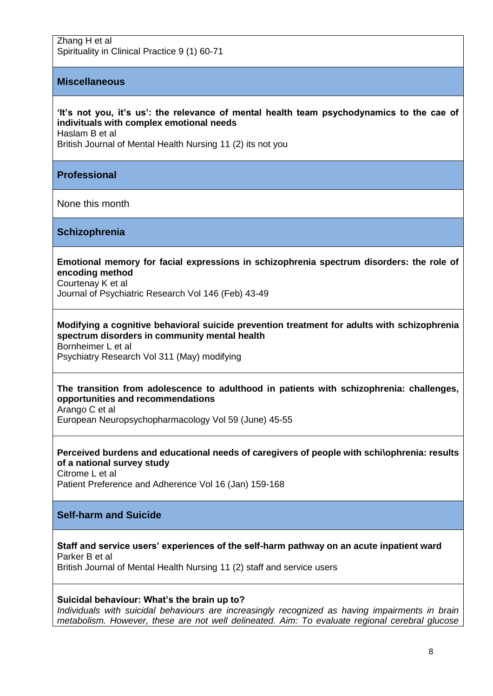Zhang H et al Spirituality in Clinical Practice 9 (1) 60-71

#### **Miscellaneous**

# **'It's not you, it's us': the relevance of mental health team psychodynamics to the cae of indivituals with complex emotional needs**

Haslam B et al

British Journal of Mental Health Nursing 11 (2) its not you

#### **Professional**

None this month

#### **Schizophrenia**

**Emotional memory for facial expressions in schizophrenia spectrum disorders: the role of encoding method**

Courtenay K et al

Journal of Psychiatric Research Vol 146 (Feb) 43-49

## **Modifying a cognitive behavioral suicide prevention treatment for adults with schizophrenia spectrum disorders in community mental health**

Bornheimer L et al Psychiatry Research Vol 311 (May) modifying

#### **The transition from adolescence to adulthood in patients with schizophrenia: challenges, opportunities and recommendations**

Arango C et al European Neuropsychopharmacology Vol 59 (June) 45-55

# **Perceived burdens and educational needs of caregivers of people with schi\ophrenia: results of a national survey study**

Citrome L et al Patient Preference and Adherence Vol 16 (Jan) 159-168

# **Self-harm and Suicide**

#### **Staff and service users' experiences of the self-harm pathway on an acute inpatient ward** Parker B et al

British Journal of Mental Health Nursing 11 (2) staff and service users

#### **Suicidal behaviour: What's the brain up to?**

*Individuals with suicidal behaviours are increasingly recognized as having impairments in brain metabolism. However, these are not well delineated. Aim: To evaluate regional cerebral glucose*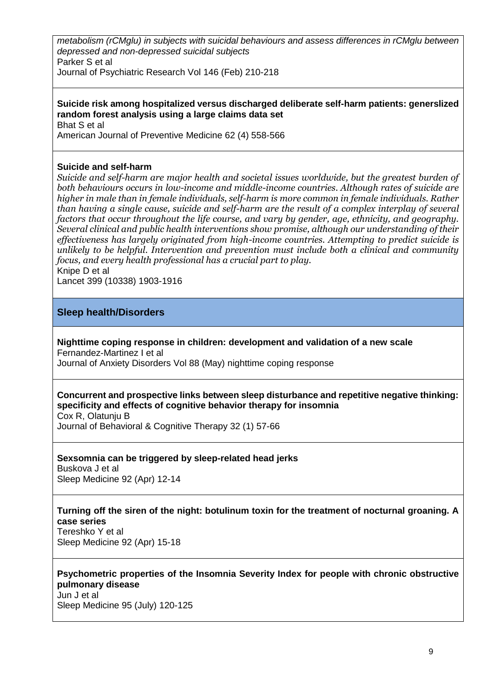*metabolism (rCMglu) in subjects with suicidal behaviours and assess differences in rCMglu between depressed and non-depressed suicidal subjects* Parker S et al

Journal of Psychiatric Research Vol 146 (Feb) 210-218

#### **Suicide risk among hospitalized versus discharged deliberate self-harm patients: generslized random forest analysis using a large claims data set** Bhat S et al

American Journal of Preventive Medicine 62 (4) 558-566

#### **Suicide and self-harm**

*Suicide and self-harm are major health and societal issues worldwide, but the greatest burden of both behaviours occurs in low-income and middle-income countries. Although rates of suicide are higher in male than in female individuals, self-harm is more common in female individuals. Rather than having a single cause, suicide and self-harm are the result of a complex interplay of several factors that occur throughout the life course, and vary by gender, age, ethnicity, and geography. Several clinical and public health interventions show promise, although our understanding of their effectiveness has largely originated from high-income countries. Attempting to predict suicide is unlikely to be helpful. Intervention and prevention must include both a clinical and community focus, and every health professional has a crucial part to play.*

Knipe D et al

Lancet 399 (10338) 1903-1916

#### **Sleep health/Disorders**

**Nighttime coping response in children: development and validation of a new scale** Fernandez-Martinez I et al

Journal of Anxiety Disorders Vol 88 (May) nighttime coping response

#### **Concurrent and prospective links between sleep disturbance and repetitive negative thinking: specificity and effects of cognitive behavior therapy for insomnia** Cox R, Olatunju B

Journal of Behavioral & Cognitive Therapy 32 (1) 57-66

#### **Sexsomnia can be triggered by sleep-related head jerks** Buskova J et al

Sleep Medicine 92 (Apr) 12-14

# **Turning off the siren of the night: botulinum toxin for the treatment of nocturnal groaning. A case series**

Tereshko Y et al Sleep Medicine 92 (Apr) 15-18

#### **Psychometric properties of the Insomnia Severity Index for people with chronic obstructive pulmonary disease**

Jun J et al Sleep Medicine 95 (July) 120-125